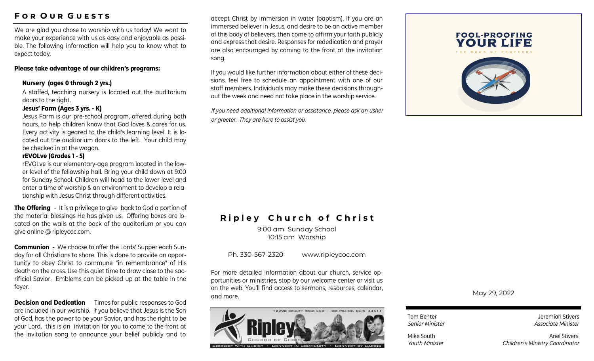# **F o r O u r G u e s t s**

We are glad you chose to worship with us today! We want to make your experience with us as easy and enjoyable as possible. The following information will help you to know what to expect today.

### **Please take advantage of our children's programs:**

### **Nursery (ages 0 through 2 yrs.)**

A staffed, teaching nursery is located out the auditorium doors to the right.

#### **Jesus' Farm (Ages 3 yrs. - K)**

Jesus Farm is our pre-school program, offered during both hours, to help children know that God loves & cares for us. Every activity is geared to the child's learning level. It is located out the auditorium doors to the left. Your child may be checked in at the wagon.

### **rEVOLve (Grades 1 - 5)**

rEVOLve is our elementary-age program located in the lower level of the fellowship hall. Bring your child down at 9:00 for Sunday School. Children will head to the lower level and enter a time of worship & an environment to develop a relationship with Jesus Christ through different activities.

**The Offering** - It is a privilege to give back to God a portion of the material blessings He has given us. Offering boxes are located on the walls at the back of the auditorium or you can give online @ ripleycoc.com.

**Communion** - We choose to offer the Lords' Supper each Sunday for all Christians to share. This is done to provide an opportunity to obey Christ to commune "in remembrance" of His death on the cross. Use this quiet time to draw close to the sacrificial Savior. Emblems can be picked up at the table in the foyer.

**Decision and Dedication** - Times for public responses to God are included in our worship. If you believe that Jesus is the Son of God, has the power to be your Savior, and has the right to be your Lord, this is an invitation for you to come to the front at the invitation song to announce your belief publicly and to

accept Christ by immersion in water (baptism). If you are an immersed believer in Jesus, and desire to be an active member of this body of believers, then come to affirm your faith publicly and express that desire. Responses for rededication and prayer are also encouraged by coming to the front at the invitation song.

If you would like further information about either of these decisions, feel free to schedule an appointment with one of our staff members. Individuals may make these decisions throughout the week and need not take place in the worship service.

*If you need additional information or assistance, please ask an usher or greeter. They are here to assist you.*



# **Ripley Church of Christ**

9:00 am Sunday School 10:15 am Worship

Ph. 330-567-2320 www.ripleycoc.com

For more detailed information about our church, service opportunities or ministries, stop by our welcome center or visit us on the web. You'll find access to sermons, resources, calendar, and more.



May 29, 2022

Tom Benter **Jeremiah Stivers** *Senior Minister Associate Minister* 

Mike South **Ariel Stivers** Ariel Stivers *Youth Minister Children's Ministry Coordinator*